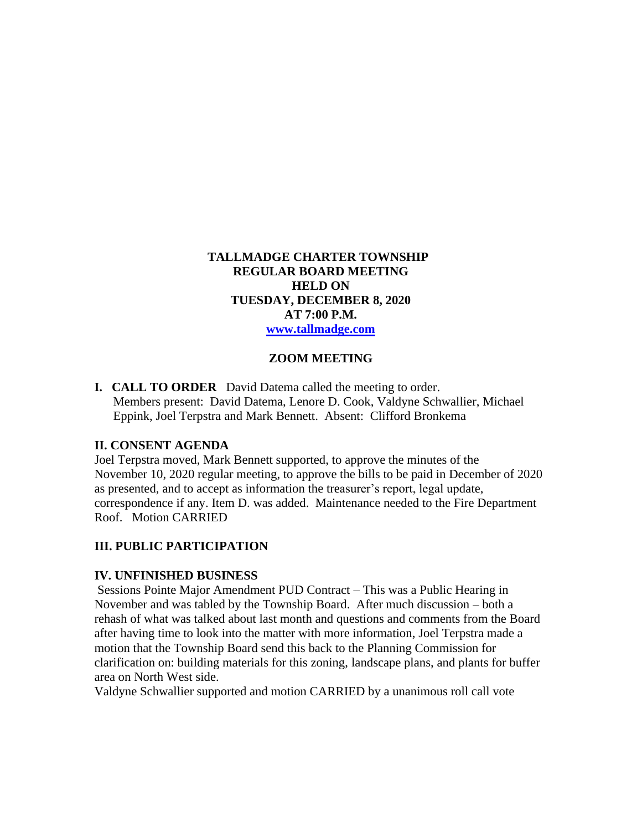## **TALLMADGE CHARTER TOWNSHIP REGULAR BOARD MEETING HELD ON TUESDAY, DECEMBER 8, 2020 AT 7:00 P.M. [www.tallmadge.com](http://www.tallmadge.com/)**

### **ZOOM MEETING**

**I. CALL TO ORDER** David Datema called the meeting to order. Members present: David Datema, Lenore D. Cook, Valdyne Schwallier, Michael Eppink, Joel Terpstra and Mark Bennett. Absent: Clifford Bronkema

#### **II. CONSENT AGENDA**

Joel Terpstra moved, Mark Bennett supported, to approve the minutes of the November 10, 2020 regular meeting, to approve the bills to be paid in December of 2020 as presented, and to accept as information the treasurer's report, legal update, correspondence if any. Item D. was added. Maintenance needed to the Fire Department Roof. Motion CARRIED

#### **III. PUBLIC PARTICIPATION**

#### **IV. UNFINISHED BUSINESS**

Sessions Pointe Major Amendment PUD Contract – This was a Public Hearing in November and was tabled by the Township Board. After much discussion – both a rehash of what was talked about last month and questions and comments from the Board after having time to look into the matter with more information, Joel Terpstra made a motion that the Township Board send this back to the Planning Commission for clarification on: building materials for this zoning, landscape plans, and plants for buffer area on North West side.

Valdyne Schwallier supported and motion CARRIED by a unanimous roll call vote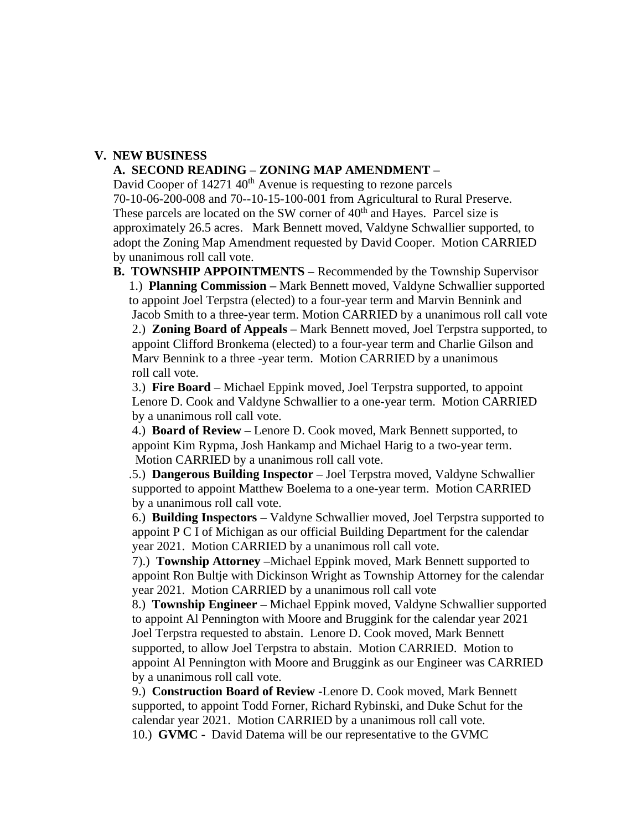## **V. NEW BUSINESS**

#### **A. SECOND READING – ZONING MAP AMENDMENT –**

David Cooper of  $14271 \, 40<sup>th</sup>$  Avenue is requesting to rezone parcels 70-10-06-200-008 and 70--10-15-100-001 from Agricultural to Rural Preserve. These parcels are located on the SW corner of 40<sup>th</sup> and Hayes. Parcel size is approximately 26.5 acres. Mark Bennett moved, Valdyne Schwallier supported, to adopt the Zoning Map Amendment requested by David Cooper. Motion CARRIED by unanimous roll call vote.

 **B. TOWNSHIP APPOINTMENTS –** Recommended by the Township Supervisor 1.) **Planning Commission –** Mark Bennett moved, Valdyne Schwallier supported to appoint Joel Terpstra (elected) to a four-year term and Marvin Bennink and Jacob Smith to a three-year term. Motion CARRIED by a unanimous roll call vote 2.) **Zoning Board of Appeals –** Mark Bennett moved, Joel Terpstra supported, to appoint Clifford Bronkema (elected) to a four-year term and Charlie Gilson and Marv Bennink to a three -year term. Motion CARRIED by a unanimous roll call vote.

3.) **Fire Board –** Michael Eppink moved, Joel Terpstra supported, to appoint Lenore D. Cook and Valdyne Schwallier to a one-year term. Motion CARRIED by a unanimous roll call vote.

 4.) **Board of Review –** Lenore D. Cook moved, Mark Bennett supported, to appoint Kim Rypma, Josh Hankamp and Michael Harig to a two-year term. Motion CARRIED by a unanimous roll call vote.

 .5.) **Dangerous Building Inspector –** Joel Terpstra moved, Valdyne Schwallier supported to appoint Matthew Boelema to a one-year term. Motion CARRIED by a unanimous roll call vote.

6.) **Building Inspectors –** Valdyne Schwallier moved, Joel Terpstra supported to appoint P C I of Michigan as our official Building Department for the calendar year 2021. Motion CARRIED by a unanimous roll call vote.

7).) **Township Attorney –**Michael Eppink moved, Mark Bennett supported to appoint Ron Bultje with Dickinson Wright as Township Attorney for the calendar year 2021. Motion CARRIED by a unanimous roll call vote

8.) **Township Engineer –** Michael Eppink moved, Valdyne Schwallier supported to appoint Al Pennington with Moore and Bruggink for the calendar year 2021 Joel Terpstra requested to abstain. Lenore D. Cook moved, Mark Bennett supported, to allow Joel Terpstra to abstain. Motion CARRIED. Motion to appoint Al Pennington with Moore and Bruggink as our Engineer was CARRIED by a unanimous roll call vote.

9.) **Construction Board of Review -**Lenore D. Cook moved, Mark Bennett supported, to appoint Todd Forner, Richard Rybinski, and Duke Schut for the calendar year 2021. Motion CARRIED by a unanimous roll call vote. 10.) **GVMC -** David Datema will be our representative to the GVMC